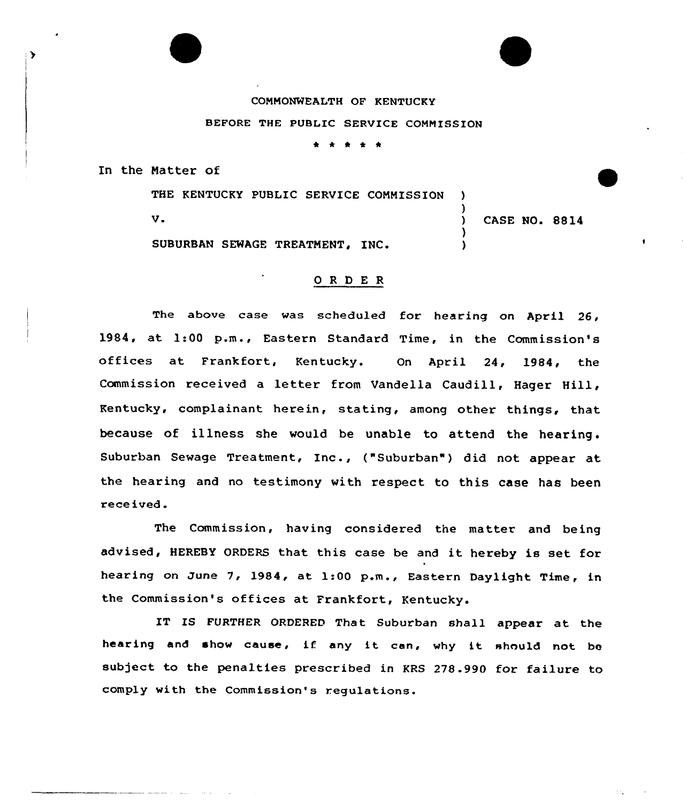## COMMONWEALTH OF KENTUCKY

## BEFORE THE PUBLIC SERVICE COMMISSION

\* \* \* \*

In the Natter of

 $\rightarrow$ 

THE KENTUCKY PUBLIC SERVICE COMMISSION )

V. Same and the contract of the contract of the contract of the contract of the contract of the contract of the contract of the contract of the contract of the contract of the contract of the contract of the contract of th

)

)

SUBURBAN SEWAGE TREATMENT, INC.

## ORDER

The above case was scheduled for hearing on April 26, 1984, at 1:00 p.m., Eastern Standard Time, in the Commission's offices at Frankfort, Kentucky. On April 24, 1984, the Commission received <sup>a</sup> letter from Vandella Caudill, Hager Hill, Kentucky, complainant herein, stating, among other things, that because of illness she would be unable to attend the hearing . Suburban Sewage Treatment, Inc., ("Suburban") did not appear at the hearing and no testimony with respect to this case has been rece ived.

The Commission, having considered the matter and being advised, HEREBY ORDERS that this case be and it hereby is set for hearing on June 7, 1984, at 1:00 p.m., Eastern Daylight Time, in the Commission's offices at Frankfort, Kentucky.

IT IS FURTHER ORDERED That Suburban shall appear at the hearing and show cause, if any it cen, why it should not be subject to the penalties prescribed in KRS 278.990 for failure to comply with the Commission's requlations.